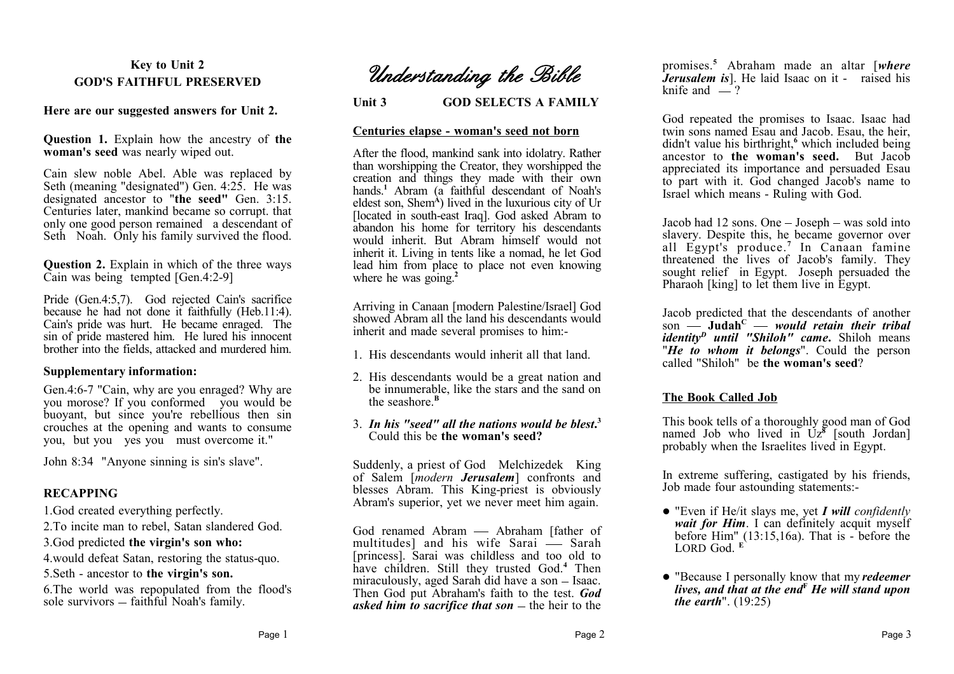## **Key to Unit 2 GOD'S FAITHFUL PRESERVED**

#### **Here are our suggested answers for Unit 2.**

**Question 1.** Explain how the ancestry of **the woman's seed** was nearly wiped out.

Cain slew noble Abel. Able was replaced by Seth (meaning "designated") Gen. 4:25. He was designated ancestor to "**the seed"** Gen. 3:15. Centuries later, mankind became so corrupt. that only one good person remained a descendant of Seth Noah. Only his family survived the flood.

**Question 2.** Explain in which of the three ways Cain was being tempted  $[Gen.4:2-9]$ 

Pride (Gen.4:5,7). God rejected Cain's sacrifice because he had not done it faithfully (Heb.11:4). Cain's pride was hurt. He became enraged. The sin of pride mastered him. He lured his innocent brother into the fields, attacked and murdered him.

#### **Supplementary information:**

Gen.4:6-7 "Cain, why are you enraged? Why are you morose? If you conformed you would be buoyant, but since you're rebellious then sin crouches at the opening and wants to consume you, but you yes you must overcome it."

John 8:34 "Anyone sinning is sin's slave".

## **RECAPPING**

1.God created everything perfectly.

2.To incite man to rebel, Satan slandered God.

3.God predicted **the virgin's son who:**

4.would defeat Satan, restoring the status-quo.

5.Seth - ancestor to **the virgin's son.**

6.The world was repopulated from the flood's sole survivors  $-$  faithful Noah's family.

*Understanding the Bible*

**Unit 3 GOD SELECTS A FAMILY**

#### **Centuries elapse - woman's seed not born**

After the flood, mankind sank into idolatry. Rather than worshipping the Creator, they worshipped the creation and things they made with their own hands.<sup>1</sup> Abram (a faithful descendant of Noah's eldest son, Shem<sup>A</sup>) lived in the luxurious city of Ur [located in south-east Iraq]. God asked Abram to abandon his home for territory his descendants would inherit. But Abram himself would not inherit it. Living in tents like a nomad, he let God lead him from place to place not even knowing where he was going.<sup>2</sup>

Arriving in Canaan [modern Palestine/Israel] God showed Abram all the land his descendants would inherit and made several promises to him:-

- 1. His descendants would inherit all that land.
- 2. His descendants would be a great nation and be innumerable, like the stars and the sand on the seashore.**<sup>B</sup>**
- 3. *In his "seed" all the nations would be blest***. 3** Could this be **the woman's seed?**

Suddenly, a priest of God Melchizedek King of Salem [*modern Jerusalem*] confronts and blesses Abram. This King-priest is obviously Abram's superior, yet we never meet him again.

God renamed Abram — Abraham [father of multitudes] and his wife Sarai  $\frac{1}{x}$  Sarah [princess]. Sarai was childless and too old to have children. Still they trusted God.**<sup>4</sup>** Then miraculously, aged Sarah did have a son  $-$  Isaac. Then God put Abraham's faith to the test. *God asked him to sacrifice that son*  $-$  the heir to the promises.**<sup>5</sup>**Abraham made an altar [*where Jerusalem is*]. He laid Isaac on it - raised his knife and  $-$ ?

God repeated the promises to Isaac. Isaac had twin sons named Esau and Jacob. Esau, the heir, didn't value his birthright,**<sup>6</sup>** which included being ancestor to **the woman's seed.** But Jacob appreciated its importance and persuaded Esau to part with it. God changed Jacob's name to Israel which means - Ruling with God.

Jacob had  $12$  sons. One  $-$  Joseph  $-$  was sold into slavery. Despite this, he became governor over all Egypt's produce.**<sup>7</sup>** In Canaan famine threatened the lives of Jacob's family. They sought relief in Egypt. Joseph persuaded the Pharaoh [king] to let them live in Egypt.

Jacob predicted that the descendants of another son **Judah<sup>C</sup>** *would retain their tribal identity<sup>D</sup> until "Shiloh" came***.** Shiloh means "*He to whom it belongs*". Could the person called "Shiloh" be **the woman's seed**?

## **The Book Called Job**

This book tells of a thoroughly good man of God named Job who lived in Uz**<sup>8</sup>** [south Jordan] probably when the Israelites lived in Egypt.

In extreme suffering, castigated by his friends, Job made four astounding statements:-

- "Even if He/it slays me, yet *I will confidently* wait for Him. I can definitely acquit myself before Him" (13:15,16a). That is - before the LORD God<sup>E</sup>
- "Because I personally know that my *redeemer lives, and that at the end***<sup>F</sup>** *He will stand upon the earth*". (19:25)